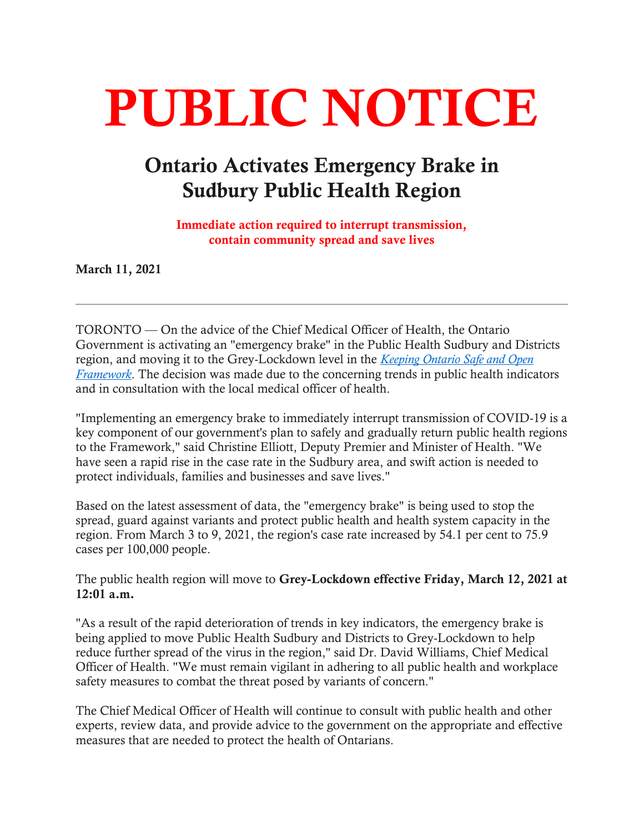# PUBLIC NOTICE

## Ontario Activates Emergency Brake in Sudbury Public Health Region

 Immediate action required to interrupt transmission, contain community spread and save lives

March 11, 2021

 TORONTO — On the advice of the Chief Medical Officer of Health, the Ontario Government is activating an "emergency brake" in the Public Health Sudbury and Districts *Framework*. The decision was made due to the concerning trends in public health indicators region, and moving it to the Grey-Lockdown level in the *[Keeping Ontario Safe and Open](https://www.ontario.ca/page/covid-19-response-framework-keeping-ontario-safe-and-open)*  and in consultation with the local medical officer of health.

 "Implementing an emergency brake to immediately interrupt transmission of COVID-19 is a key component of our government's plan to safely and gradually return public health regions to the Framework," said Christine Elliott, Deputy Premier and Minister of Health. "We have seen a rapid rise in the case rate in the Sudbury area, and swift action is needed to protect individuals, families and businesses and save lives."

 Based on the latest assessment of data, the "emergency brake" is being used to stop the spread, guard against variants and protect public health and health system capacity in the region. From March 3 to 9, 2021, the region's case rate increased by 54.1 per cent to 75.9 cases per 100,000 people.

The public health region will move to Grey-Lockdown effective Friday, March 12, 2021 at 12:01 a.m.

 "As a result of the rapid deterioration of trends in key indicators, the emergency brake is being applied to move Public Health Sudbury and Districts to Grey-Lockdown to help reduce further spread of the virus in the region," said Dr. David Williams, Chief Medical safety measures to combat the threat posed by variants of concern." Officer of Health. "We must remain vigilant in adhering to all public health and workplace

 The Chief Medical Officer of Health will continue to consult with public health and other experts, review data, and provide advice to the government on the appropriate and effective measures that are needed to protect the health of Ontarians.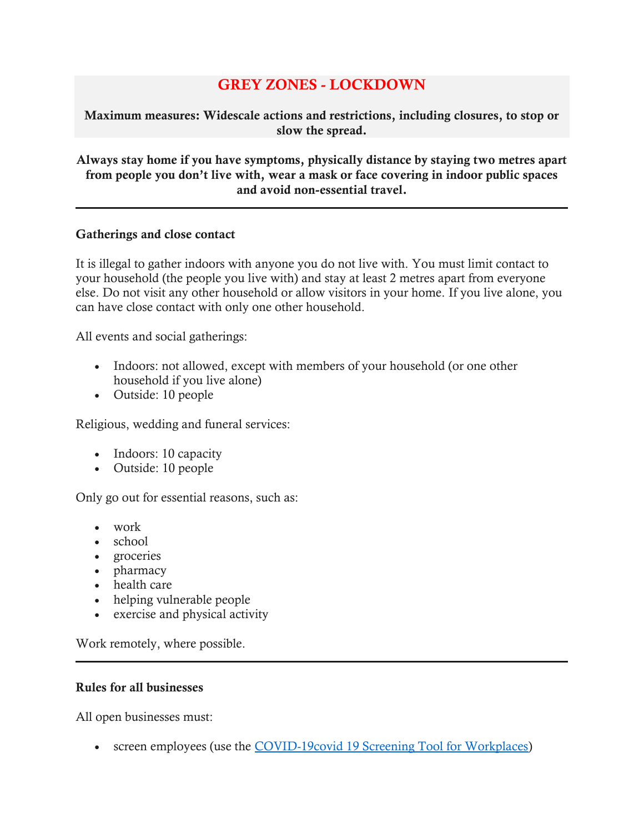### GREY ZONES - LOCKDOWN

 Maximum measures: Widescale actions and restrictions, including closures, to stop or slow the spread.

#### Always stay home if you have symptoms, physically distance by staying two metres apart from people you don't live with, wear a mask or face covering in indoor public spaces and avoid non-essential travel.

#### Gatherings and close contact

 It is illegal to gather indoors with anyone you do not live with. You must limit contact to your household (the people you live with) and stay at least 2 metres apart from everyone else. Do not visit any other household or allow visitors in your home. If you live alone, you can have close contact with only one other household.

All events and social gatherings:

- Indoors: not allowed, except with members of your household (or one other household if you live alone)
- Outside: 10 people

Religious, wedding and funeral services:

- Indoors: 10 capacity
- Outside: 10 people

Only go out for essential reasons, such as:

- work
- school
- • groceries
- pharmacy
- health care
- helping vulnerable people
- exercise and physical activity

Work remotely, where possible.

#### Rules for all businesses

All open businesses must:

• screen employees (use the [COVID-19covid 19 Screening Tool for Workplaces\)](https://covid-19.ontario.ca/screening/worker)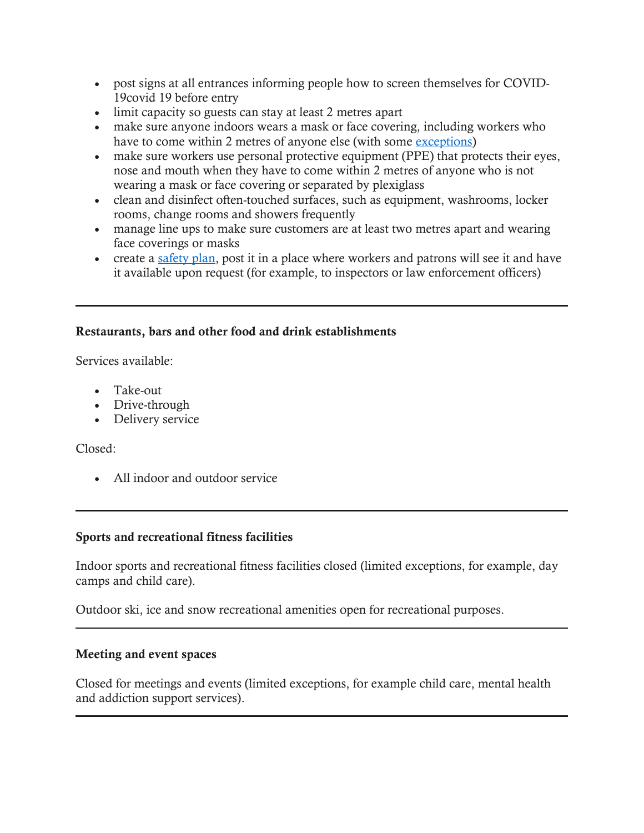- post signs at all entrances informing people how to screen themselves for COVID-19covid 19 before entry
- • limit capacity so guests can stay at least 2 metres apart
- make sure anyone indoors wears a mask or face covering, including workers who have to come within 2 metres of anyone else (with some [exceptions\)](https://www.ontario.ca/page/face-coverings-and-face-masks#section-1)
- make sure workers use personal protective equipment (PPE) that protects their eyes, nose and mouth when they have to come within 2 metres of anyone who is not wearing a mask or face covering or separated by plexiglass
- clean and disinfect often-touched surfaces, such as equipment, washrooms, locker rooms, change rooms and showers frequently
- manage line ups to make sure customers are at least two metres apart and wearing face coverings or masks
- create a [safety plan,](https://www.ontario.ca/page/develop-your-covid-19-workplace-safety-plan) post it in a place where workers and patrons will see it and have it available upon request (for example, to inspectors or law enforcement officers)

#### Restaurants, bars and other food and drink establishments

Services available:

- • Take-out
- Drive-through
- Delivery service

Closed:

• All indoor and outdoor service

#### Sports and recreational fitness facilities

 Indoor sports and recreational fitness facilities closed (limited exceptions, for example, day camps and child care).

Outdoor ski, ice and snow recreational amenities open for recreational purposes.

#### Meeting and event spaces

 Closed for meetings and events (limited exceptions, for example child care, mental health and addiction support services).